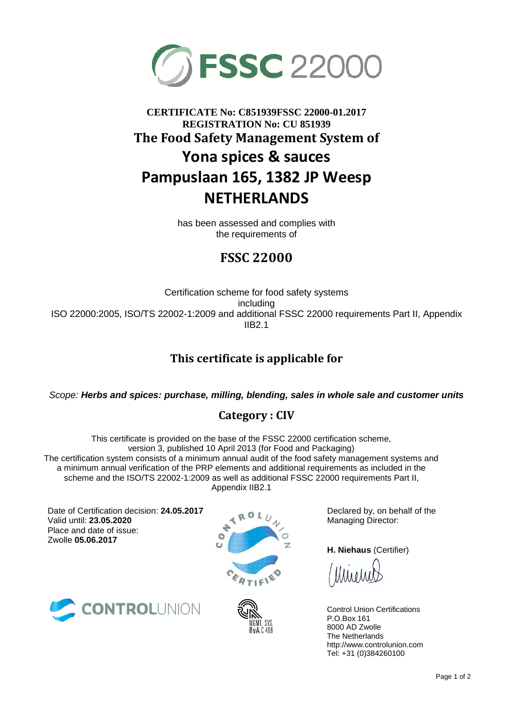

# **CERTIFICATE No: C851939FSSC 22000-01.2017 REGISTRATION No: CU 851939 The Food Safety Management System of Yona spices & sauces Pampuslaan 165, 1382 JP Weesp NETHERLANDS**

has been assessed and complies with the requirements of

## **FSSC 22000**

Certification scheme for food safety systems including ISO 22000:2005, ISO/TS 22002-1:2009 and additional FSSC 22000 requirements Part II, Appendix IIB2.1

## **This certificate is applicable for**

*Scope: Herbs and spices: purchase, milling, blending, sales in whole sale and customer units*

### **Category : CIV**

This certificate is provided on the base of the FSSC 22000 certification scheme, version 3, published 10 April 2013 (for Food and Packaging) The certification system consists of a minimum annual audit of the food safety management systems and a minimum annual verification of the PRP elements and additional requirements as included in the scheme and the ISO/TS 22002-1:2009 as well as additional FSSC 22000 requirements Part II, Appendix IIB2.1

Date of Certification decision: **24.05.2017** Valid until: **23.05.2020** Place and date of issue: Zwolle **05.06.2017**







Declared by, on behalf of the Managing Director:

**H. Niehaus** (Certifier)

Control Union Certifications P.O.Box 161 8000 AD Zwolle The Netherlands http://www.controlunion.com Tel: +31 (0)384260100